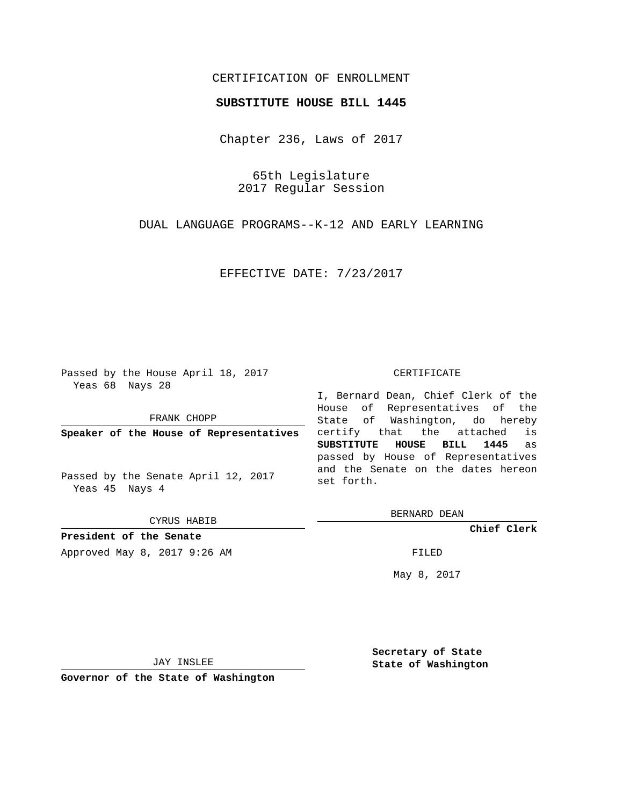## CERTIFICATION OF ENROLLMENT

### **SUBSTITUTE HOUSE BILL 1445**

Chapter 236, Laws of 2017

65th Legislature 2017 Regular Session

DUAL LANGUAGE PROGRAMS--K-12 AND EARLY LEARNING

EFFECTIVE DATE: 7/23/2017

Passed by the House April 18, 2017 Yeas 68 Nays 28

FRANK CHOPP

**Speaker of the House of Representatives**

Passed by the Senate April 12, 2017 Yeas 45 Nays 4

CYRUS HABIB

**President of the Senate**

Approved May 8, 2017 9:26 AM FILED

#### CERTIFICATE

I, Bernard Dean, Chief Clerk of the House of Representatives of the State of Washington, do hereby certify that the attached is **SUBSTITUTE HOUSE BILL 1445** as passed by House of Representatives and the Senate on the dates hereon set forth.

BERNARD DEAN

**Chief Clerk**

May 8, 2017

JAY INSLEE

**Governor of the State of Washington**

**Secretary of State State of Washington**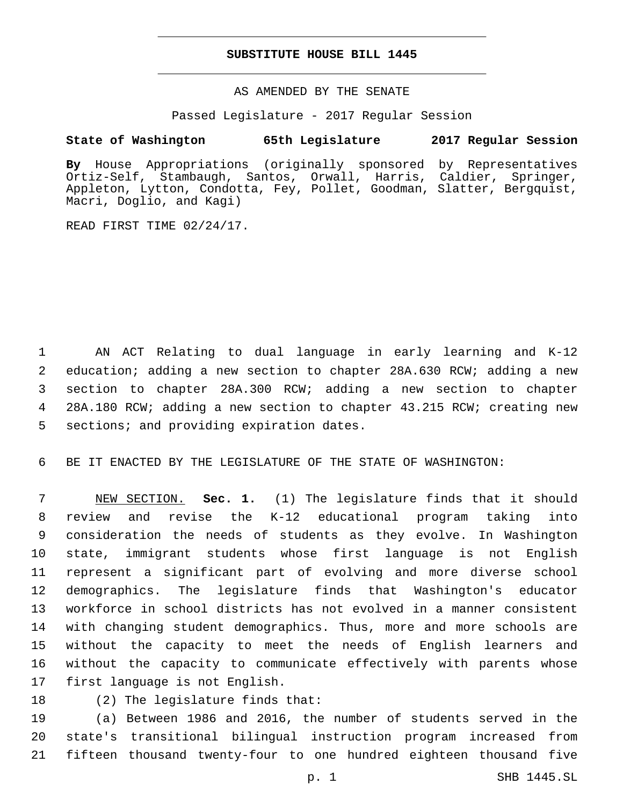## **SUBSTITUTE HOUSE BILL 1445**

AS AMENDED BY THE SENATE

Passed Legislature - 2017 Regular Session

# **State of Washington 65th Legislature 2017 Regular Session**

**By** House Appropriations (originally sponsored by Representatives Ortiz-Self, Stambaugh, Santos, Orwall, Harris, Caldier, Springer, Appleton, Lytton, Condotta, Fey, Pollet, Goodman, Slatter, Bergquist, Macri, Doglio, and Kagi)

READ FIRST TIME 02/24/17.

 AN ACT Relating to dual language in early learning and K-12 education; adding a new section to chapter 28A.630 RCW; adding a new section to chapter 28A.300 RCW; adding a new section to chapter 28A.180 RCW; adding a new section to chapter 43.215 RCW; creating new 5 sections; and providing expiration dates.

BE IT ENACTED BY THE LEGISLATURE OF THE STATE OF WASHINGTON:

 NEW SECTION. **Sec. 1.** (1) The legislature finds that it should review and revise the K-12 educational program taking into consideration the needs of students as they evolve. In Washington state, immigrant students whose first language is not English represent a significant part of evolving and more diverse school demographics. The legislature finds that Washington's educator workforce in school districts has not evolved in a manner consistent with changing student demographics. Thus, more and more schools are without the capacity to meet the needs of English learners and without the capacity to communicate effectively with parents whose first language is not English.

(2) The legislature finds that:

 (a) Between 1986 and 2016, the number of students served in the state's transitional bilingual instruction program increased from fifteen thousand twenty-four to one hundred eighteen thousand five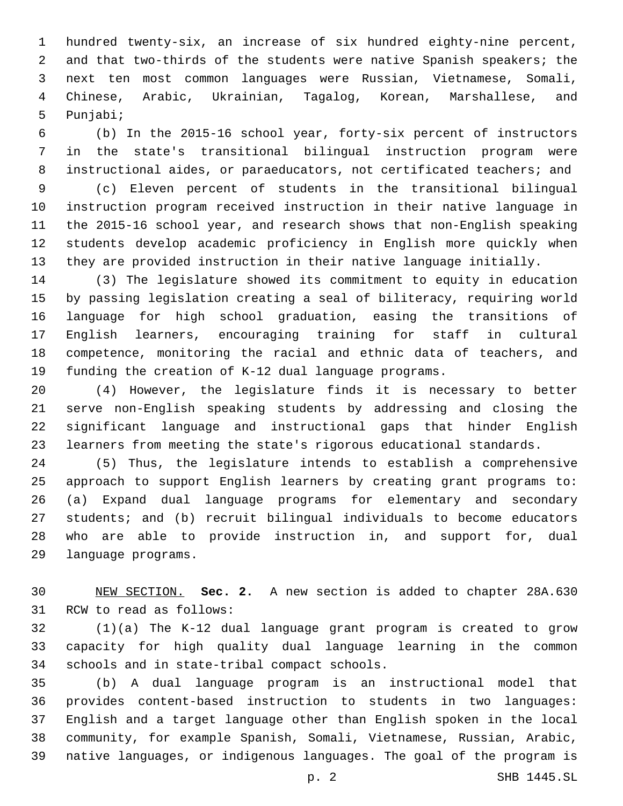hundred twenty-six, an increase of six hundred eighty-nine percent, and that two-thirds of the students were native Spanish speakers; the next ten most common languages were Russian, Vietnamese, Somali, Chinese, Arabic, Ukrainian, Tagalog, Korean, Marshallese, and 5 Punjabi;

 (b) In the 2015-16 school year, forty-six percent of instructors in the state's transitional bilingual instruction program were instructional aides, or paraeducators, not certificated teachers; and

 (c) Eleven percent of students in the transitional bilingual instruction program received instruction in their native language in the 2015-16 school year, and research shows that non-English speaking students develop academic proficiency in English more quickly when they are provided instruction in their native language initially.

 (3) The legislature showed its commitment to equity in education by passing legislation creating a seal of biliteracy, requiring world language for high school graduation, easing the transitions of English learners, encouraging training for staff in cultural competence, monitoring the racial and ethnic data of teachers, and funding the creation of K-12 dual language programs.

 (4) However, the legislature finds it is necessary to better serve non-English speaking students by addressing and closing the significant language and instructional gaps that hinder English learners from meeting the state's rigorous educational standards.

 (5) Thus, the legislature intends to establish a comprehensive approach to support English learners by creating grant programs to: (a) Expand dual language programs for elementary and secondary students; and (b) recruit bilingual individuals to become educators who are able to provide instruction in, and support for, dual 29 language programs.

 NEW SECTION. **Sec. 2.** A new section is added to chapter 28A.630 31 RCW to read as follows:

 (1)(a) The K-12 dual language grant program is created to grow capacity for high quality dual language learning in the common 34 schools and in state-tribal compact schools.

 (b) A dual language program is an instructional model that provides content-based instruction to students in two languages: English and a target language other than English spoken in the local community, for example Spanish, Somali, Vietnamese, Russian, Arabic, native languages, or indigenous languages. The goal of the program is

p. 2 SHB 1445.SL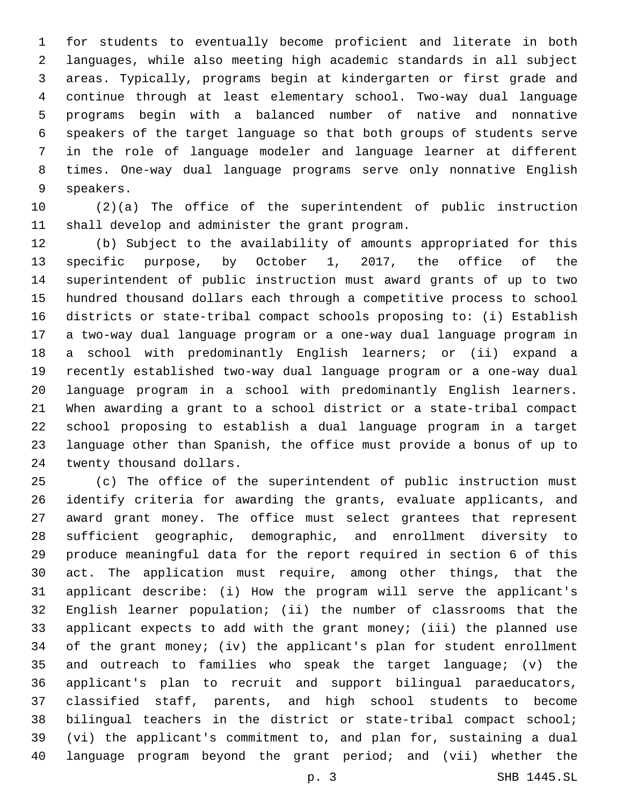for students to eventually become proficient and literate in both languages, while also meeting high academic standards in all subject areas. Typically, programs begin at kindergarten or first grade and continue through at least elementary school. Two-way dual language programs begin with a balanced number of native and nonnative speakers of the target language so that both groups of students serve in the role of language modeler and language learner at different times. One-way dual language programs serve only nonnative English 9 speakers.

 (2)(a) The office of the superintendent of public instruction 11 shall develop and administer the grant program.

 (b) Subject to the availability of amounts appropriated for this specific purpose, by October 1, 2017, the office of the superintendent of public instruction must award grants of up to two hundred thousand dollars each through a competitive process to school districts or state-tribal compact schools proposing to: (i) Establish a two-way dual language program or a one-way dual language program in a school with predominantly English learners; or (ii) expand a recently established two-way dual language program or a one-way dual language program in a school with predominantly English learners. When awarding a grant to a school district or a state-tribal compact school proposing to establish a dual language program in a target language other than Spanish, the office must provide a bonus of up to 24 twenty thousand dollars.

 (c) The office of the superintendent of public instruction must identify criteria for awarding the grants, evaluate applicants, and award grant money. The office must select grantees that represent sufficient geographic, demographic, and enrollment diversity to produce meaningful data for the report required in section 6 of this act. The application must require, among other things, that the applicant describe: (i) How the program will serve the applicant's English learner population; (ii) the number of classrooms that the applicant expects to add with the grant money; (iii) the planned use of the grant money; (iv) the applicant's plan for student enrollment and outreach to families who speak the target language; (v) the applicant's plan to recruit and support bilingual paraeducators, classified staff, parents, and high school students to become bilingual teachers in the district or state-tribal compact school; (vi) the applicant's commitment to, and plan for, sustaining a dual language program beyond the grant period; and (vii) whether the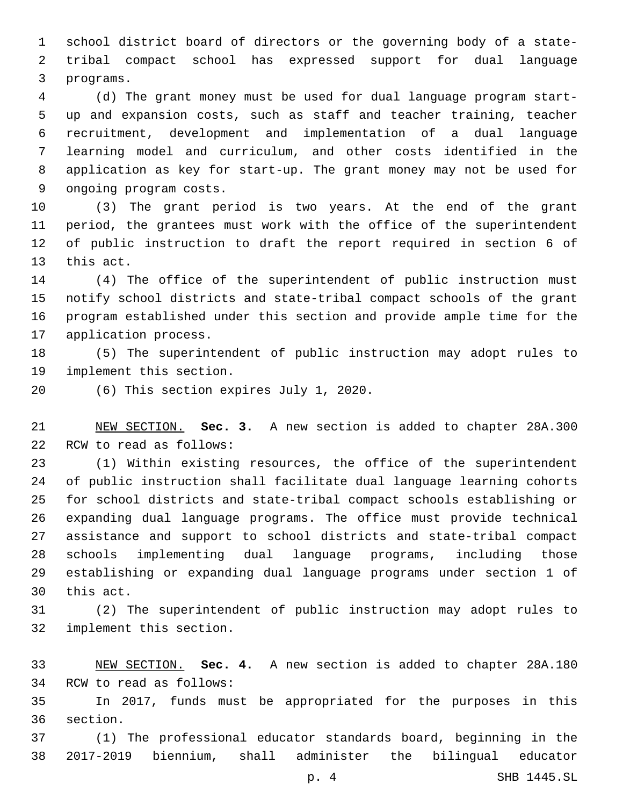school district board of directors or the governing body of a state- tribal compact school has expressed support for dual language 3 programs.

 (d) The grant money must be used for dual language program start- up and expansion costs, such as staff and teacher training, teacher recruitment, development and implementation of a dual language learning model and curriculum, and other costs identified in the application as key for start-up. The grant money may not be used for 9 ongoing program costs.

 (3) The grant period is two years. At the end of the grant period, the grantees must work with the office of the superintendent of public instruction to draft the report required in section 6 of 13 this act.

 (4) The office of the superintendent of public instruction must notify school districts and state-tribal compact schools of the grant program established under this section and provide ample time for the 17 application process.

 (5) The superintendent of public instruction may adopt rules to 19 implement this section.

(6) This section expires July 1, 2020.20

 NEW SECTION. **Sec. 3.** A new section is added to chapter 28A.300 22 RCW to read as follows:

 (1) Within existing resources, the office of the superintendent of public instruction shall facilitate dual language learning cohorts for school districts and state-tribal compact schools establishing or expanding dual language programs. The office must provide technical assistance and support to school districts and state-tribal compact schools implementing dual language programs, including those establishing or expanding dual language programs under section 1 of 30 this act.

 (2) The superintendent of public instruction may adopt rules to 32 implement this section.

 NEW SECTION. **Sec. 4.** A new section is added to chapter 28A.180 34 RCW to read as follows:

 In 2017, funds must be appropriated for the purposes in this 36 section.

 (1) The professional educator standards board, beginning in the 2017-2019 biennium, shall administer the bilingual educator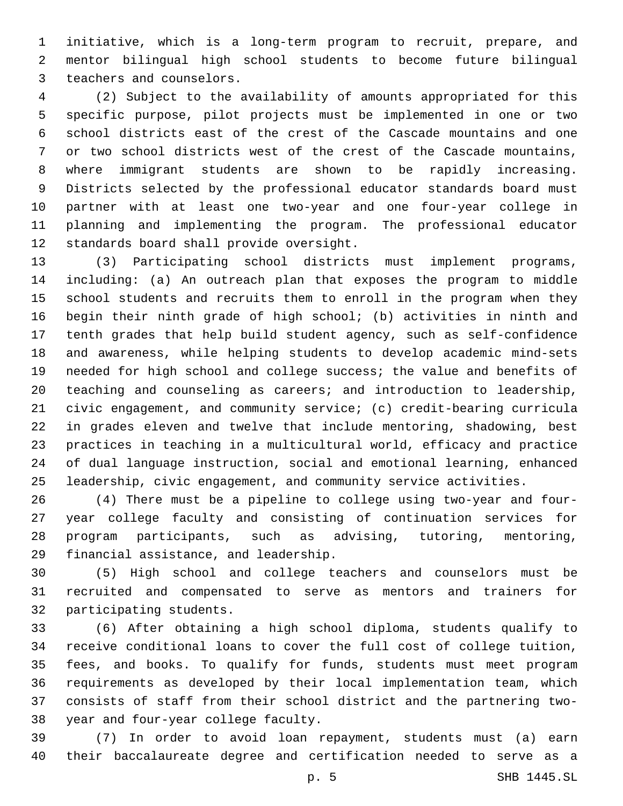initiative, which is a long-term program to recruit, prepare, and mentor bilingual high school students to become future bilingual 3 teachers and counselors.

 (2) Subject to the availability of amounts appropriated for this specific purpose, pilot projects must be implemented in one or two school districts east of the crest of the Cascade mountains and one or two school districts west of the crest of the Cascade mountains, where immigrant students are shown to be rapidly increasing. Districts selected by the professional educator standards board must partner with at least one two-year and one four-year college in planning and implementing the program. The professional educator 12 standards board shall provide oversight.

 (3) Participating school districts must implement programs, including: (a) An outreach plan that exposes the program to middle school students and recruits them to enroll in the program when they begin their ninth grade of high school; (b) activities in ninth and tenth grades that help build student agency, such as self-confidence and awareness, while helping students to develop academic mind-sets needed for high school and college success; the value and benefits of teaching and counseling as careers; and introduction to leadership, civic engagement, and community service; (c) credit-bearing curricula in grades eleven and twelve that include mentoring, shadowing, best practices in teaching in a multicultural world, efficacy and practice of dual language instruction, social and emotional learning, enhanced leadership, civic engagement, and community service activities.

 (4) There must be a pipeline to college using two-year and four- year college faculty and consisting of continuation services for program participants, such as advising, tutoring, mentoring, 29 financial assistance, and leadership.

 (5) High school and college teachers and counselors must be recruited and compensated to serve as mentors and trainers for 32 participating students.

 (6) After obtaining a high school diploma, students qualify to receive conditional loans to cover the full cost of college tuition, fees, and books. To qualify for funds, students must meet program requirements as developed by their local implementation team, which consists of staff from their school district and the partnering two-38 year and four-year college faculty.

 (7) In order to avoid loan repayment, students must (a) earn their baccalaureate degree and certification needed to serve as a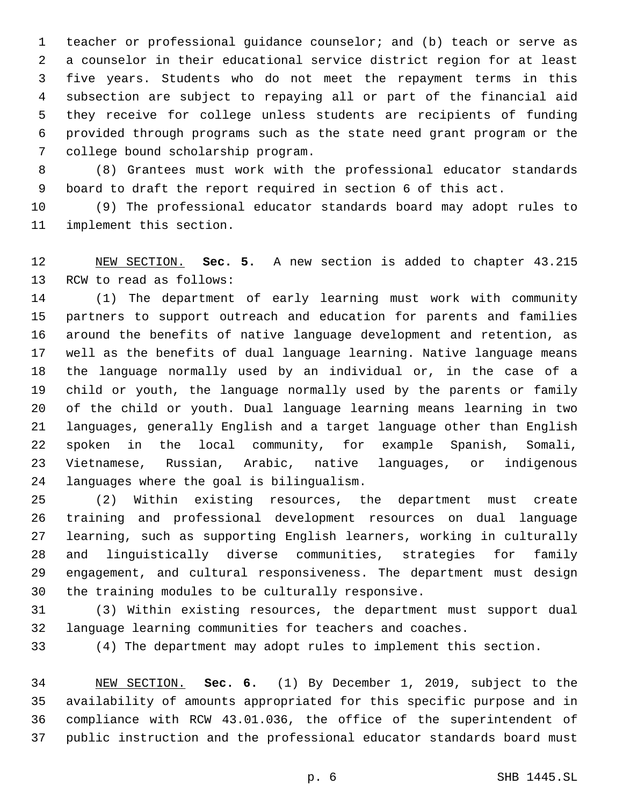teacher or professional guidance counselor; and (b) teach or serve as a counselor in their educational service district region for at least five years. Students who do not meet the repayment terms in this subsection are subject to repaying all or part of the financial aid they receive for college unless students are recipients of funding provided through programs such as the state need grant program or the 7 college bound scholarship program.

 (8) Grantees must work with the professional educator standards board to draft the report required in section 6 of this act.

 (9) The professional educator standards board may adopt rules to 11 implement this section.

 NEW SECTION. **Sec. 5.** A new section is added to chapter 43.215 13 RCW to read as follows:

 (1) The department of early learning must work with community partners to support outreach and education for parents and families around the benefits of native language development and retention, as well as the benefits of dual language learning. Native language means the language normally used by an individual or, in the case of a child or youth, the language normally used by the parents or family of the child or youth. Dual language learning means learning in two languages, generally English and a target language other than English spoken in the local community, for example Spanish, Somali, Vietnamese, Russian, Arabic, native languages, or indigenous 24 languages where the goal is bilingualism.

 (2) Within existing resources, the department must create training and professional development resources on dual language learning, such as supporting English learners, working in culturally and linguistically diverse communities, strategies for family engagement, and cultural responsiveness. The department must design 30 the training modules to be culturally responsive.

 (3) Within existing resources, the department must support dual language learning communities for teachers and coaches.

(4) The department may adopt rules to implement this section.

 NEW SECTION. **Sec. 6.** (1) By December 1, 2019, subject to the availability of amounts appropriated for this specific purpose and in compliance with RCW 43.01.036, the office of the superintendent of public instruction and the professional educator standards board must